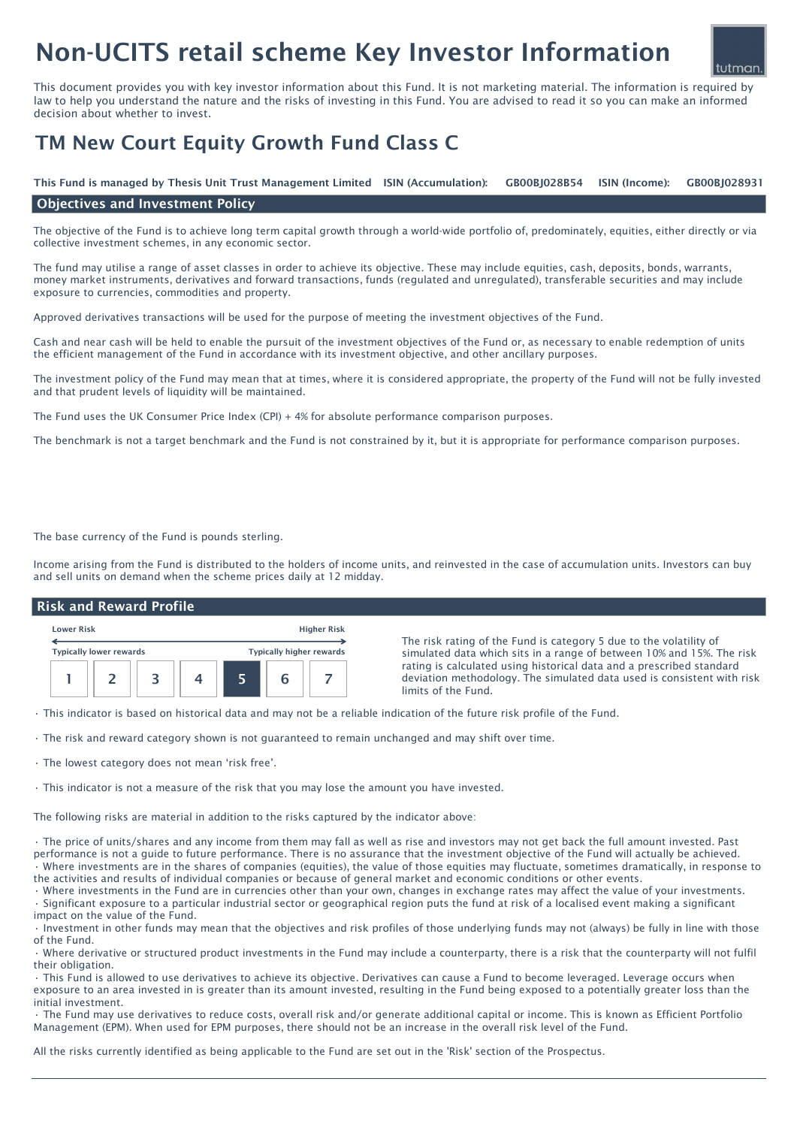# Non-UCITS retail scheme Key Investor Information

This document provides you with key investor information about this Fund. It is not marketing material. The information is required by law to help you understand the nature and the risks of investing in this Fund. You are advised to read it so you can make an informed decision about whether to invest.

## TM New Court Equity Growth Fund Class C

ISIN (Income): This Fund is managed by Thesis Unit Trust Management Limited ISIN (Accumulation): GB00BJ028B54 ISIN (Income): GB00BJ028931

#### Objectives and Investment Policy

The objective of the Fund is to achieve long term capital growth through a world-wide portfolio of, predominately, equities, either directly or via collective investment schemes, in any economic sector.

The fund may utilise a range of asset classes in order to achieve its objective. These may include equities, cash, deposits, bonds, warrants, money market instruments, derivatives and forward transactions, funds (regulated and unregulated), transferable securities and may include exposure to currencies, commodities and property.

Approved derivatives transactions will be used for the purpose of meeting the investment objectives of the Fund.

Cash and near cash will be held to enable the pursuit of the investment objectives of the Fund or, as necessary to enable redemption of units the efficient management of the Fund in accordance with its investment objective, and other ancillary purposes.

The investment policy of the Fund may mean that at times, where it is considered appropriate, the property of the Fund will not be fully invested and that prudent levels of liquidity will be maintained.

The Fund uses the UK Consumer Price Index (CPI) + 4% for absolute performance comparison purposes.

The benchmark is not a target benchmark and the Fund is not constrained by it, but it is appropriate for performance comparison purposes.

The base currency of the Fund is pounds sterling.

Income arising from the Fund is distributed to the holders of income units, and reinvested in the case of accumulation units. Investors can buy and sell units on demand when the scheme prices daily at 12 midday.

#### Risk and Reward Profile



The risk rating of the Fund is category 5 due to the volatility of simulated data which sits in a range of between 10% and 15%. The risk rating is calculated using historical data and a prescribed standard deviation methodology. The simulated data used is consistent with risk limits of the Fund.

• This indicator is based on historical data and may not be a reliable indication of the future risk profile of the Fund.

- The risk and reward category shown is not guaranteed to remain unchanged and may shift over time.
- The lowest category does not mean 'risk free'.

• This indicator is not a measure of the risk that you may lose the amount you have invested.

The following risks are material in addition to the risks captured by the indicator above:

• The price of units/shares and any income from them may fall as well as rise and investors may not get back the full amount invested. Past performance is not a guide to future performance. There is no assurance that the investment objective of the Fund will actually be achieved. • Where investments are in the shares of companies (equities), the value of those equities may fluctuate, sometimes dramatically, in response to the activities and results of individual companies or because of general market and economic conditions or other events.

• Where investments in the Fund are in currencies other than your own, changes in exchange rates may affect the value of your investments. • Significant exposure to a particular industrial sector or geographical region puts the fund at risk of a localised event making a significant impact on the value of the Fund.

• Investment in other funds may mean that the objectives and risk profiles of those underlying funds may not (always) be fully in line with those of the Fund.

• Where derivative or structured product investments in the Fund may include a counterparty, there is a risk that the counterparty will not fulfil their obligation.

• This Fund is allowed to use derivatives to achieve its objective. Derivatives can cause a Fund to become leveraged. Leverage occurs when exposure to an area invested in is greater than its amount invested, resulting in the Fund being exposed to a potentially greater loss than the initial investment.

• The Fund may use derivatives to reduce costs, overall risk and/or generate additional capital or income. This is known as Efficient Portfolio Management (EPM). When used for EPM purposes, there should not be an increase in the overall risk level of the Fund.

All the risks currently identified as being applicable to the Fund are set out in the 'Risk' section of the Prospectus.